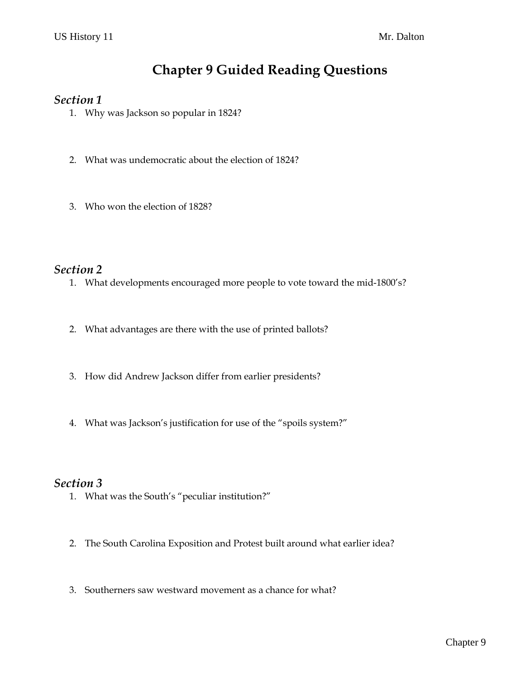# **Chapter 9 Guided Reading Questions**

#### *Section 1*

- 1. Why was Jackson so popular in 1824?
- 2. What was undemocratic about the election of 1824?
- 3. Who won the election of 1828?

### *Section 2*

- 1. What developments encouraged more people to vote toward the mid-1800's?
- 2. What advantages are there with the use of printed ballots?
- 3. How did Andrew Jackson differ from earlier presidents?
- 4. What was Jackson's justification for use of the "spoils system?"

#### *Section 3*

- 1. What was the South's "peculiar institution?"
- 2. The South Carolina Exposition and Protest built around what earlier idea?
- 3. Southerners saw westward movement as a chance for what?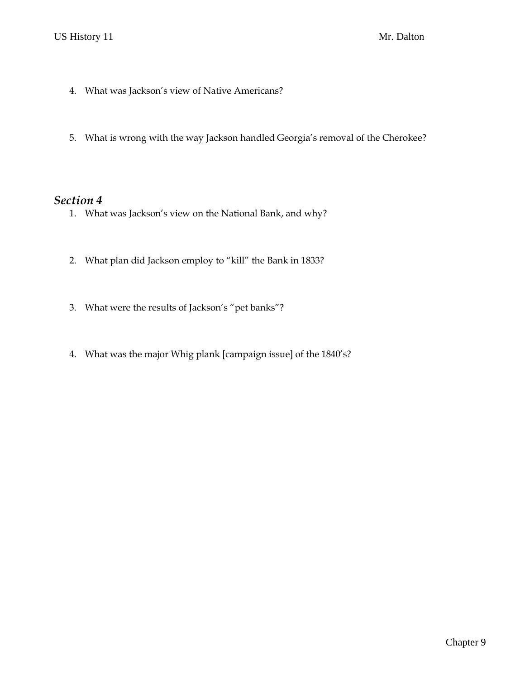- 4. What was Jackson's view of Native Americans?
- 5. What is wrong with the way Jackson handled Georgia's removal of the Cherokee?

### *Section 4*

- 1. What was Jackson's view on the National Bank, and why?
- 2. What plan did Jackson employ to "kill" the Bank in 1833?
- 3. What were the results of Jackson's "pet banks"?
- 4. What was the major Whig plank [campaign issue] of the 1840's?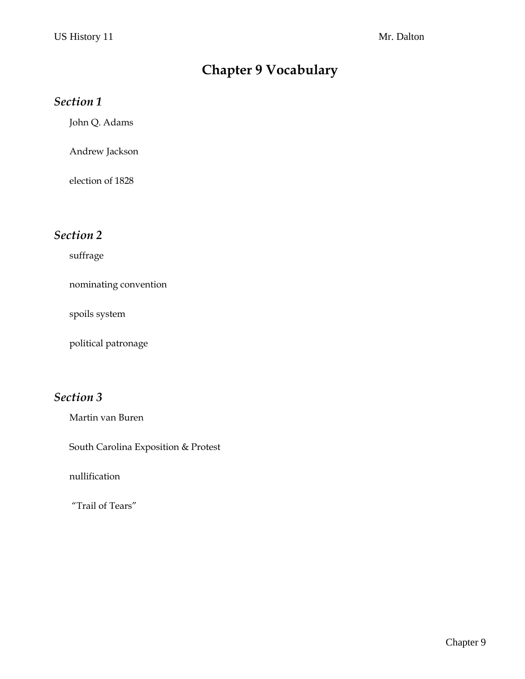# **Chapter 9 Vocabulary**

### *Section 1*

John Q. Adams

Andrew Jackson

election of 1828

## *Section 2*

suffrage

nominating convention

spoils system

political patronage

## *Section 3*

Martin van Buren

South Carolina Exposition & Protest

nullification

"Trail of Tears"